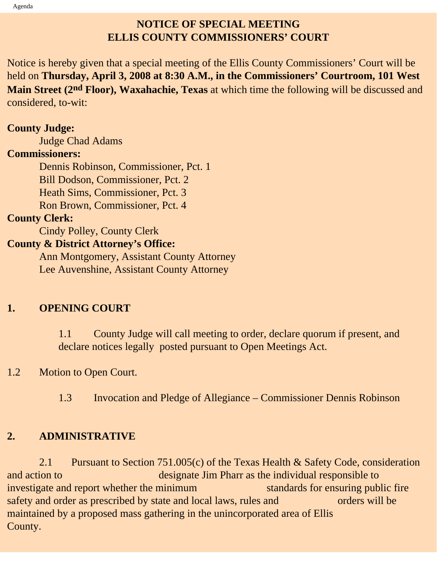## **NOTICE OF SPECIAL MEETING ELLIS COUNTY COMMISSIONERS' COURT**

Notice is hereby given that a special meeting of the Ellis County Commissioners' Court will be held on **Thursday, April 3, 2008 at 8:30 A.M., in the Commissioners' Courtroom, 101 West Main Street (2nd Floor), Waxahachie, Texas** at which time the following will be discussed and considered, to-wit:

#### **County Judge:**

Judge Chad Adams

#### **Commissioners:**

 Dennis Robinson, Commissioner, Pct. 1 Bill Dodson, Commissioner, Pct. 2 Heath Sims, Commissioner, Pct. 3 Ron Brown, Commissioner, Pct. 4

#### **County Clerk:**

Cindy Polley, County Clerk

### **County & District Attorney's Office:**

 Ann Montgomery, Assistant County Attorney Lee Auvenshine, Assistant County Attorney

## **1. OPENING COURT**

1.1 County Judge will call meeting to order, declare quorum if present, and declare notices legally posted pursuant to Open Meetings Act.

## 1.2 Motion to Open Court.

1.3 Invocation and Pledge of Allegiance – Commissioner Dennis Robinson

## **2. ADMINISTRATIVE**

 2.1 Pursuant to Section 751.005(c) of the Texas Health & Safety Code, consideration and action to designate Jim Pharr as the individual responsible to investigate and report whether the minimum standards for ensuring public fire safety and order as prescribed by state and local laws, rules and orders will be maintained by a proposed mass gathering in the unincorporated area of Ellis County.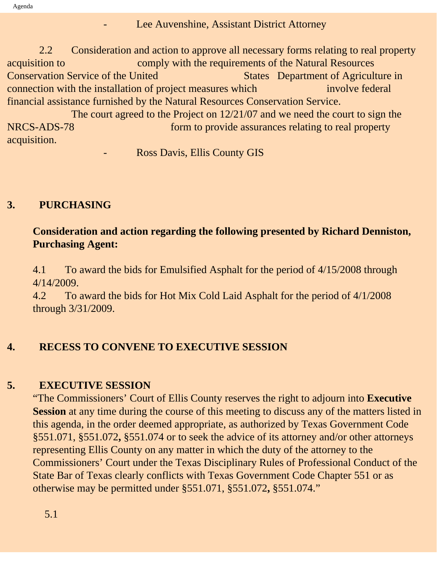#### Lee Auvenshine, Assistant District Attorney

 2.2 Consideration and action to approve all necessary forms relating to real property acquisition to comply with the requirements of the Natural Resources **Conservation Service of the United States Department of Agriculture in** connection with the installation of project measures which involve federal financial assistance furnished by the Natural Resources Conservation Service.

 The court agreed to the Project on 12/21/07 and we need the court to sign the NRCS-ADS-78 form to provide assurances relating to real property acquisition.

**Ross Davis, Ellis County GIS** 

### **3. PURCHASING**

### **Consideration and action regarding the following presented by Richard Denniston, Purchasing Agent:**

4.1 To award the bids for Emulsified Asphalt for the period of 4/15/2008 through 4/14/2009.

4.2 To award the bids for Hot Mix Cold Laid Asphalt for the period of 4/1/2008 through 3/31/2009.

## **4. RECESS TO CONVENE TO EXECUTIVE SESSION**

#### **5. EXECUTIVE SESSION**

"The Commissioners' Court of Ellis County reserves the right to adjourn into **Executive Session** at any time during the course of this meeting to discuss any of the matters listed in this agenda, in the order deemed appropriate, as authorized by Texas Government Code §551.071, §551.072**,** §551.074 or to seek the advice of its attorney and/or other attorneys representing Ellis County on any matter in which the duty of the attorney to the Commissioners' Court under the Texas Disciplinary Rules of Professional Conduct of the State Bar of Texas clearly conflicts with Texas Government Code Chapter 551 or as otherwise may be permitted under §551.071, §551.072**,** §551.074."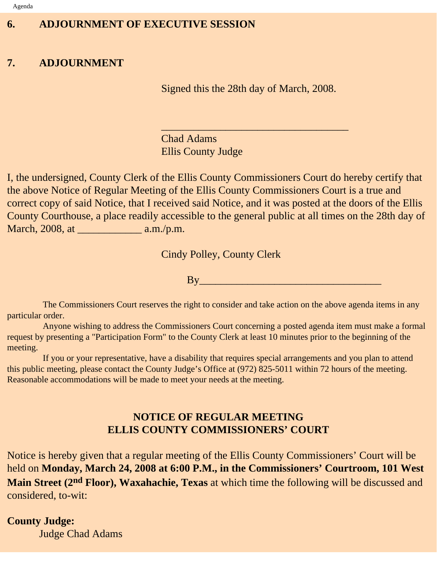## **6. ADJOURNMENT OF EXECUTIVE SESSION**

## **7. ADJOURNMENT**

Signed this the 28th day of March, 2008.

 $\overline{\phantom{a}}$  , and the set of the set of the set of the set of the set of the set of the set of the set of the set of the set of the set of the set of the set of the set of the set of the set of the set of the set of the s

Chad Adams Ellis County Judge

I, the undersigned, County Clerk of the Ellis County Commissioners Court do hereby certify that the above Notice of Regular Meeting of the Ellis County Commissioners Court is a true and correct copy of said Notice, that I received said Notice, and it was posted at the doors of the Ellis County Courthouse, a place readily accessible to the general public at all times on the 28th day of March, 2008, at \_\_\_\_\_\_\_\_\_\_\_\_ a.m./p.m.

Cindy Polley, County Clerk

By\_\_\_\_\_\_\_\_\_\_\_\_\_\_\_\_\_\_\_\_\_\_\_\_\_\_\_\_\_\_\_\_\_\_

 The Commissioners Court reserves the right to consider and take action on the above agenda items in any particular order.

 Anyone wishing to address the Commissioners Court concerning a posted agenda item must make a formal request by presenting a "Participation Form" to the County Clerk at least 10 minutes prior to the beginning of the meeting.

 If you or your representative, have a disability that requires special arrangements and you plan to attend this public meeting, please contact the County Judge's Office at (972) 825-5011 within 72 hours of the meeting. Reasonable accommodations will be made to meet your needs at the meeting.

## **NOTICE OF REGULAR MEETING ELLIS COUNTY COMMISSIONERS' COURT**

Notice is hereby given that a regular meeting of the Ellis County Commissioners' Court will be held on **Monday, March 24, 2008 at 6:00 P.M., in the Commissioners' Courtroom, 101 West Main Street (2nd Floor), Waxahachie, Texas** at which time the following will be discussed and considered, to-wit:

#### **County Judge:**

Judge Chad Adams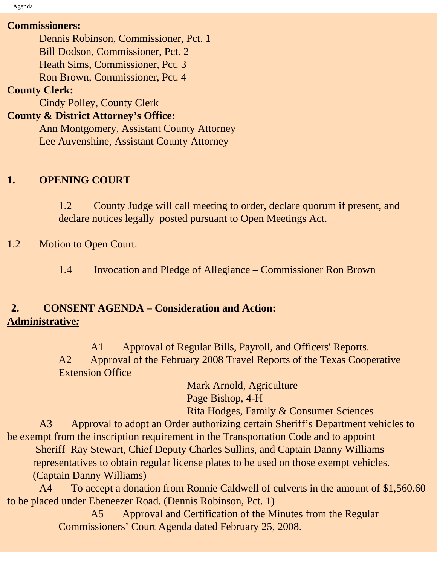Agenda

#### **Commissioners:**

Dennis Robinson, Commissioner, Pct. 1

Bill Dodson, Commissioner, Pct. 2

Heath Sims, Commissioner, Pct. 3

Ron Brown, Commissioner, Pct. 4

### **County Clerk:**

Cindy Polley, County Clerk

## **County & District Attorney's Office:**

 Ann Montgomery, Assistant County Attorney Lee Auvenshine, Assistant County Attorney

# **1. OPENING COURT**

1.2 County Judge will call meeting to order, declare quorum if present, and declare notices legally posted pursuant to Open Meetings Act.

## 1.2 Motion to Open Court.

1.4 Invocation and Pledge of Allegiance – Commissioner Ron Brown

## **2. CONSENT AGENDA – Consideration and Action: Administrative***:*

 A1 Approval of Regular Bills, Payroll, and Officers' Reports. A2 Approval of the February 2008 Travel Reports of the Texas Cooperative Extension Office

> Mark Arnold, Agriculture Page Bishop, 4-H

Rita Hodges, Family & Consumer Sciences

 A3 Approval to adopt an Order authorizing certain Sheriff's Department vehicles to be exempt from the inscription requirement in the Transportation Code and to appoint

 Sheriff Ray Stewart, Chief Deputy Charles Sullins, and Captain Danny Williams representatives to obtain regular license plates to be used on those exempt vehicles. (Captain Danny Williams)

 A4 To accept a donation from Ronnie Caldwell of culverts in the amount of \$1,560.60 to be placed under Ebeneezer Road. (Dennis Robinson, Pct. 1)

 A5 Approval and Certification of the Minutes from the Regular Commissioners' Court Agenda dated February 25, 2008.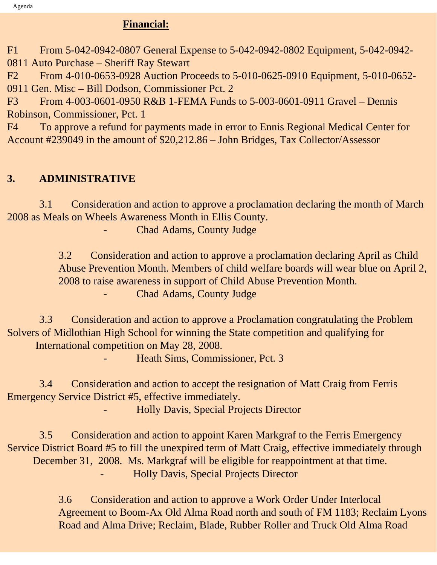## **Financial:**

F1 From 5-042-0942-0807 General Expense to 5-042-0942-0802 Equipment, 5-042-0942-

0811 Auto Purchase – Sheriff Ray Stewart

F2 From 4-010-0653-0928 Auction Proceeds to 5-010-0625-0910 Equipment, 5-010-0652- 0911 Gen. Misc – Bill Dodson, Commissioner Pct. 2

F3 From 4-003-0601-0950 R&B 1-FEMA Funds to 5-003-0601-0911 Gravel – Dennis Robinson, Commissioner, Pct. 1

F4 To approve a refund for payments made in error to Ennis Regional Medical Center for Account #239049 in the amount of \$20,212.86 – John Bridges, Tax Collector/Assessor

# **3. ADMINISTRATIVE**

 3.1 Consideration and action to approve a proclamation declaring the month of March 2008 as Meals on Wheels Awareness Month in Ellis County.

Chad Adams, County Judge

3.2 Consideration and action to approve a proclamation declaring April as Child Abuse Prevention Month. Members of child welfare boards will wear blue on April 2, 2008 to raise awareness in support of Child Abuse Prevention Month. Chad Adams, County Judge

 3.3 Consideration and action to approve a Proclamation congratulating the Problem Solvers of Midlothian High School for winning the State competition and qualifying for International competition on May 28, 2008.

- Heath Sims, Commissioner, Pct. 3

 3.4 Consideration and action to accept the resignation of Matt Craig from Ferris Emergency Service District #5, effective immediately.

- Holly Davis, Special Projects Director

 3.5 Consideration and action to appoint Karen Markgraf to the Ferris Emergency Service District Board #5 to fill the unexpired term of Matt Craig, effective immediately through December 31, 2008. Ms. Markgraf will be eligible for reappointment at that time. - Holly Davis, Special Projects Director

> 3.6 Consideration and action to approve a Work Order Under Interlocal Agreement to Boom-Ax Old Alma Road north and south of FM 1183; Reclaim Lyons Road and Alma Drive; Reclaim, Blade, Rubber Roller and Truck Old Alma Road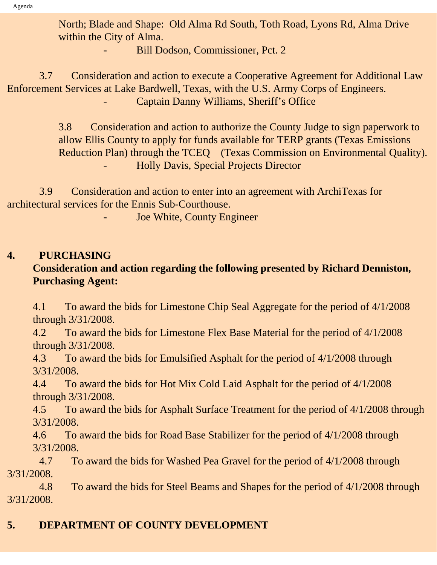North; Blade and Shape: Old Alma Rd South, Toth Road, Lyons Rd, Alma Drive within the City of Alma.

Bill Dodson, Commissioner, Pct. 2

 3.7 Consideration and action to execute a Cooperative Agreement for Additional Law Enforcement Services at Lake Bardwell, Texas, with the U.S. Army Corps of Engineers. Captain Danny Williams, Sheriff's Office

> 3.8 Consideration and action to authorize the County Judge to sign paperwork to allow Ellis County to apply for funds available for TERP grants (Texas Emissions Reduction Plan) through the TCEQ (Texas Commission on Environmental Quality). - Holly Davis, Special Projects Director

 3.9 Consideration and action to enter into an agreement with ArchiTexas for architectural services for the Ennis Sub-Courthouse.

Joe White, County Engineer

## **4. PURCHASING**

## **Consideration and action regarding the following presented by Richard Denniston, Purchasing Agent:**

4.1 To award the bids for Limestone Chip Seal Aggregate for the period of 4/1/2008 through 3/31/2008.

4.2 To award the bids for Limestone Flex Base Material for the period of 4/1/2008 through 3/31/2008.

4.3 To award the bids for Emulsified Asphalt for the period of 4/1/2008 through 3/31/2008.

4.4 To award the bids for Hot Mix Cold Laid Asphalt for the period of 4/1/2008 through 3/31/2008.

4.5 To award the bids for Asphalt Surface Treatment for the period of 4/1/2008 through 3/31/2008.

4.6 To award the bids for Road Base Stabilizer for the period of 4/1/2008 through 3/31/2008.

4.7To award the bids for Washed Pea Gravel for the period of 4/1/2008 through 3/31/2008.

 4.8To award the bids for Steel Beams and Shapes for the period of 4/1/2008 through 3/31/2008.

# **5. DEPARTMENT OF COUNTY DEVELOPMENT**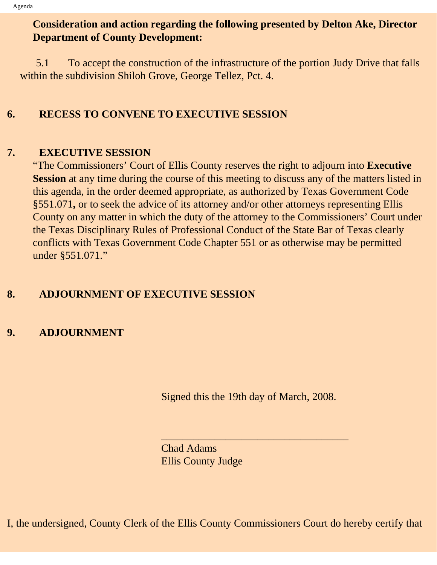## **Consideration and action regarding the following presented by Delton Ake, Director Department of County Development:**

 5.1 To accept the construction of the infrastructure of the portion Judy Drive that falls within the subdivision Shiloh Grove, George Tellez, Pct. 4.

### **6. RECESS TO CONVENE TO EXECUTIVE SESSION**

#### **7. EXECUTIVE SESSION**

"The Commissioners' Court of Ellis County reserves the right to adjourn into **Executive Session** at any time during the course of this meeting to discuss any of the matters listed in this agenda, in the order deemed appropriate, as authorized by Texas Government Code §551.071**,** or to seek the advice of its attorney and/or other attorneys representing Ellis County on any matter in which the duty of the attorney to the Commissioners' Court under the Texas Disciplinary Rules of Professional Conduct of the State Bar of Texas clearly conflicts with Texas Government Code Chapter 551 or as otherwise may be permitted under §551.071."

## **8. ADJOURNMENT OF EXECUTIVE SESSION**

## **9. ADJOURNMENT**

Signed this the 19th day of March, 2008.

 $\overline{\phantom{a}}$  , and the set of the set of the set of the set of the set of the set of the set of the set of the set of the set of the set of the set of the set of the set of the set of the set of the set of the set of the s

Chad Adams Ellis County Judge

I, the undersigned, County Clerk of the Ellis County Commissioners Court do hereby certify that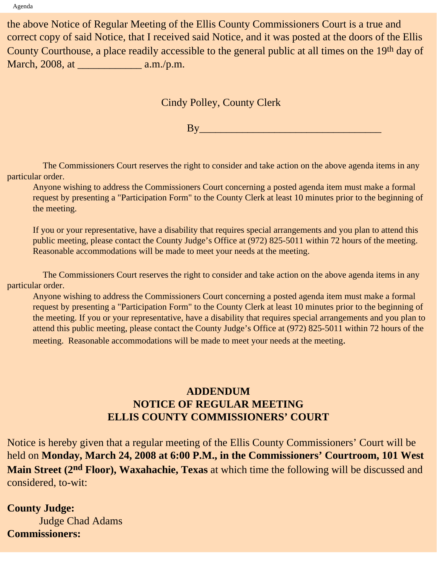the above Notice of Regular Meeting of the Ellis County Commissioners Court is a true and correct copy of said Notice, that I received said Notice, and it was posted at the doors of the Ellis County Courthouse, a place readily accessible to the general public at all times on the 19th day of March, 2008, at \_\_\_\_\_\_\_\_\_\_\_\_ a.m./p.m.

Cindy Polley, County Clerk

By\_\_\_\_\_\_\_\_\_\_\_\_\_\_\_\_\_\_\_\_\_\_\_\_\_\_\_\_\_\_\_\_\_\_

 The Commissioners Court reserves the right to consider and take action on the above agenda items in any particular order.

Anyone wishing to address the Commissioners Court concerning a posted agenda item must make a formal request by presenting a "Participation Form" to the County Clerk at least 10 minutes prior to the beginning of the meeting.

If you or your representative, have a disability that requires special arrangements and you plan to attend this public meeting, please contact the County Judge's Office at (972) 825-5011 within 72 hours of the meeting. Reasonable accommodations will be made to meet your needs at the meeting.

 The Commissioners Court reserves the right to consider and take action on the above agenda items in any particular order.

Anyone wishing to address the Commissioners Court concerning a posted agenda item must make a formal request by presenting a "Participation Form" to the County Clerk at least 10 minutes prior to the beginning of the meeting. If you or your representative, have a disability that requires special arrangements and you plan to attend this public meeting, please contact the County Judge's Office at (972) 825-5011 within 72 hours of the meeting. Reasonable accommodations will be made to meet your needs at the meeting.

## **ADDENDUM NOTICE OF REGULAR MEETING ELLIS COUNTY COMMISSIONERS' COURT**

Notice is hereby given that a regular meeting of the Ellis County Commissioners' Court will be held on **Monday, March 24, 2008 at 6:00 P.M., in the Commissioners' Courtroom, 101 West Main Street (2nd Floor), Waxahachie, Texas** at which time the following will be discussed and considered, to-wit:

**County Judge:** Judge Chad Adams **Commissioners:**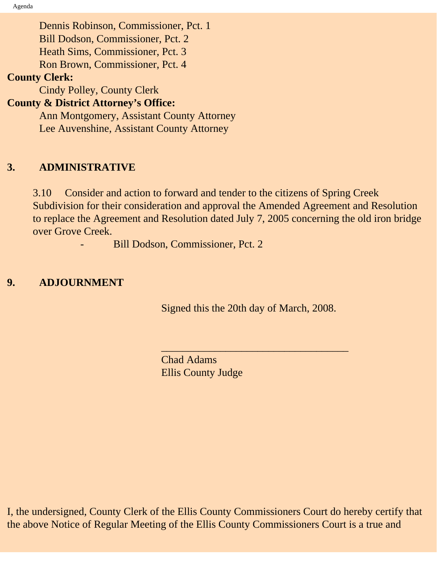Dennis Robinson, Commissioner, Pct. 1 Bill Dodson, Commissioner, Pct. 2 Heath Sims, Commissioner, Pct. 3 Ron Brown, Commissioner, Pct. 4 **County Clerk:** Cindy Polley, County Clerk **County & District Attorney's Office:** Ann Montgomery, Assistant County Attorney

Lee Auvenshine, Assistant County Attorney

#### **3. ADMINISTRATIVE**

3.10 Consider and action to forward and tender to the citizens of Spring Creek Subdivision for their consideration and approval the Amended Agreement and Resolution to replace the Agreement and Resolution dated July 7, 2005 concerning the old iron bridge over Grove Creek.

Bill Dodson, Commissioner, Pct. 2

## **9. ADJOURNMENT**

Signed this the 20th day of March, 2008.

 $\overline{\phantom{a}}$  , and the set of the set of the set of the set of the set of the set of the set of the set of the set of the set of the set of the set of the set of the set of the set of the set of the set of the set of the s

Chad Adams Ellis County Judge

I, the undersigned, County Clerk of the Ellis County Commissioners Court do hereby certify that the above Notice of Regular Meeting of the Ellis County Commissioners Court is a true and